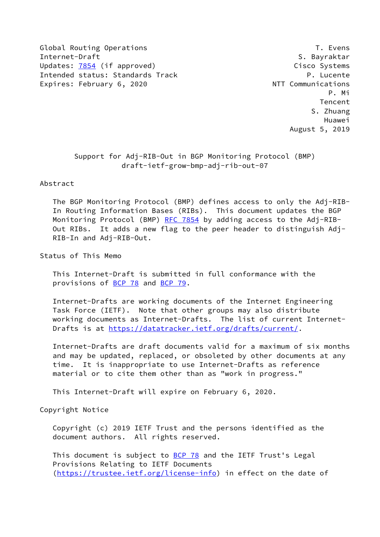Global Routing Operations T. Evens Internet-Draft S. Bayraktar Updates: [7854](https://datatracker.ietf.org/doc/pdf/rfc7854) (if approved) and the control of the Cisco Systems Intended status: Standards Track P. Lucente Expires: February 6, 2020 **NTT** Communications

 P. Mi **Tencent Contract Contract Contract Contract Contract Contract Contract Contract Contract Contract Contract Contract Contract Contract Contract Contract Contract Contract Contract Contract Contract Contract Contract Cont**  S. Zhuang Huawei August 5, 2019

> Support for Adj-RIB-Out in BGP Monitoring Protocol (BMP) draft-ietf-grow-bmp-adj-rib-out-07

Abstract

 The BGP Monitoring Protocol (BMP) defines access to only the Adj-RIB- In Routing Information Bases (RIBs). This document updates the BGP Monitoring Protocol (BMP) [RFC 7854](https://datatracker.ietf.org/doc/pdf/rfc7854) by adding access to the Adj-RIB- Out RIBs. It adds a new flag to the peer header to distinguish Adj- RIB-In and Adj-RIB-Out.

Status of This Memo

 This Internet-Draft is submitted in full conformance with the provisions of [BCP 78](https://datatracker.ietf.org/doc/pdf/bcp78) and [BCP 79](https://datatracker.ietf.org/doc/pdf/bcp79).

 Internet-Drafts are working documents of the Internet Engineering Task Force (IETF). Note that other groups may also distribute working documents as Internet-Drafts. The list of current Internet- Drafts is at<https://datatracker.ietf.org/drafts/current/>.

 Internet-Drafts are draft documents valid for a maximum of six months and may be updated, replaced, or obsoleted by other documents at any time. It is inappropriate to use Internet-Drafts as reference material or to cite them other than as "work in progress."

This Internet-Draft will expire on February 6, 2020.

Copyright Notice

 Copyright (c) 2019 IETF Trust and the persons identified as the document authors. All rights reserved.

This document is subject to **[BCP 78](https://datatracker.ietf.org/doc/pdf/bcp78)** and the IETF Trust's Legal Provisions Relating to IETF Documents [\(https://trustee.ietf.org/license-info](https://trustee.ietf.org/license-info)) in effect on the date of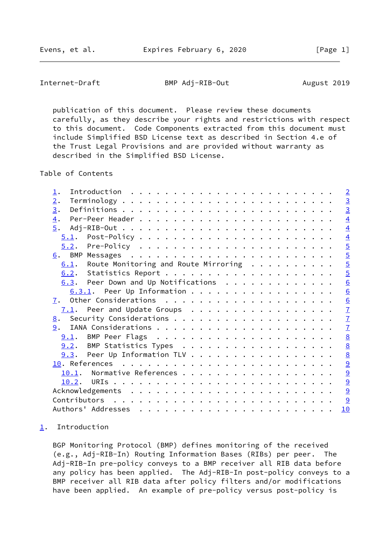<span id="page-1-1"></span>Internet-Draft BMP Adj-RIB-Out August 2019

 publication of this document. Please review these documents carefully, as they describe your rights and restrictions with respect to this document. Code Components extracted from this document must include Simplified BSD License text as described in Section 4.e of the Trust Legal Provisions and are provided without warranty as described in the Simplified BSD License.

Table of Contents

| $\perp$ .                                    | $\overline{2}$  |
|----------------------------------------------|-----------------|
| 2.                                           | $\frac{3}{3}$   |
| 3.                                           |                 |
| $\overline{4}$ .                             | $\overline{4}$  |
| 5.                                           | $\overline{4}$  |
|                                              | $\overline{4}$  |
|                                              | $\overline{5}$  |
|                                              | $\overline{5}$  |
| $6.1$ . Route Monitoring and Route Mirroring |                 |
|                                              | $rac{5}{5}$     |
| $6.3$ . Peer Down and Up Notifications       | $\underline{6}$ |
| $6.3.1$ . Peer Up Information                | $\underline{6}$ |
|                                              | $\underline{6}$ |
|                                              |                 |
|                                              | $\frac{7}{7}$   |
| 9.                                           |                 |
|                                              | $\underline{8}$ |
| 9.2. BMP Statistics Types                    | $\underline{8}$ |
| $9.3$ . Peer Up Information TLV              | $\underline{8}$ |
|                                              | 9               |
| 10.1. Normative References                   |                 |
|                                              | $\frac{9}{9}$   |
|                                              | $\overline{9}$  |
|                                              | 9               |
|                                              | 10              |
|                                              |                 |

## <span id="page-1-0"></span>[1](#page-1-0). Introduction

 BGP Monitoring Protocol (BMP) defines monitoring of the received (e.g., Adj-RIB-In) Routing Information Bases (RIBs) per peer. The Adj-RIB-In pre-policy conveys to a BMP receiver all RIB data before any policy has been applied. The Adj-RIB-In post-policy conveys to a BMP receiver all RIB data after policy filters and/or modifications have been applied. An example of pre-policy versus post-policy is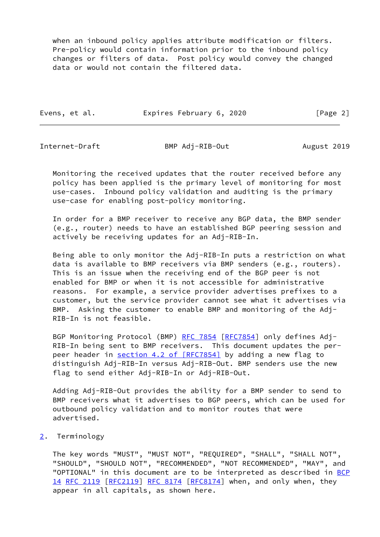when an inbound policy applies attribute modification or filters. Pre-policy would contain information prior to the inbound policy changes or filters of data. Post policy would convey the changed data or would not contain the filtered data.

Evens, et al. **Expires February 6, 2020** [Page 2]

<span id="page-2-1"></span>

Internet-Draft BMP Adj-RIB-Out August 2019

 Monitoring the received updates that the router received before any policy has been applied is the primary level of monitoring for most use-cases. Inbound policy validation and auditing is the primary use-case for enabling post-policy monitoring.

 In order for a BMP receiver to receive any BGP data, the BMP sender (e.g., router) needs to have an established BGP peering session and actively be receiving updates for an Adj-RIB-In.

 Being able to only monitor the Adj-RIB-In puts a restriction on what data is available to BMP receivers via BMP senders (e.g., routers). This is an issue when the receiving end of the BGP peer is not enabled for BMP or when it is not accessible for administrative reasons. For example, a service provider advertises prefixes to a customer, but the service provider cannot see what it advertises via BMP. Asking the customer to enable BMP and monitoring of the Adj- RIB-In is not feasible.

BGP Monitoring Protocol (BMP) [RFC 7854](https://datatracker.ietf.org/doc/pdf/rfc7854) [\[RFC7854](https://datatracker.ietf.org/doc/pdf/rfc7854)] only defines Adj- RIB-In being sent to BMP receivers. This document updates the per- peer header in section [4.2 of \[RFC7854\]](https://datatracker.ietf.org/doc/pdf/rfc7854#section-4.2) by adding a new flag to distinguish Adj-RIB-In versus Adj-RIB-Out. BMP senders use the new flag to send either Adj-RIB-In or Adj-RIB-Out.

 Adding Adj-RIB-Out provides the ability for a BMP sender to send to BMP receivers what it advertises to BGP peers, which can be used for outbound policy validation and to monitor routes that were advertised.

<span id="page-2-0"></span>[2](#page-2-0). Terminology

 The key words "MUST", "MUST NOT", "REQUIRED", "SHALL", "SHALL NOT", "SHOULD", "SHOULD NOT", "RECOMMENDED", "NOT RECOMMENDED", "MAY", and "OPTIONAL" in this document are to be interpreted as described in [BCP](https://datatracker.ietf.org/doc/pdf/bcp14) [14](https://datatracker.ietf.org/doc/pdf/bcp14) [RFC 2119 \[RFC2119](https://datatracker.ietf.org/doc/pdf/rfc2119)] [RFC 8174](https://datatracker.ietf.org/doc/pdf/rfc8174) [\[RFC8174](https://datatracker.ietf.org/doc/pdf/rfc8174)] when, and only when, they appear in all capitals, as shown here.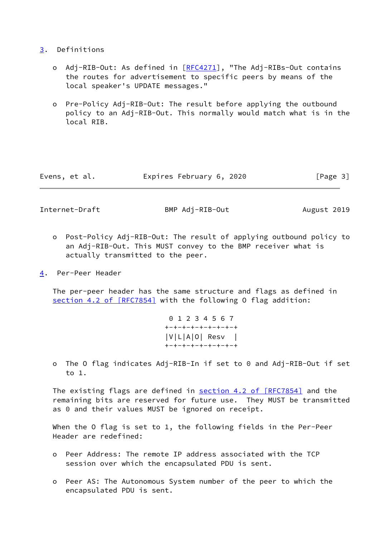## <span id="page-3-0"></span>[3](#page-3-0). Definitions

- o Adj-RIB-Out: As defined in [[RFC4271](https://datatracker.ietf.org/doc/pdf/rfc4271)], "The Adj-RIBs-Out contains the routes for advertisement to specific peers by means of the local speaker's UPDATE messages."
- o Pre-Policy Adj-RIB-Out: The result before applying the outbound policy to an Adj-RIB-Out. This normally would match what is in the local RIB.

| Expires February 6, 2020<br>[Page 3]<br>Evens, et al. |  |  |
|-------------------------------------------------------|--|--|
|-------------------------------------------------------|--|--|

<span id="page-3-2"></span>Internet-Draft BMP Adj-RIB-Out August 2019

- o Post-Policy Adj-RIB-Out: The result of applying outbound policy to an Adj-RIB-Out. This MUST convey to the BMP receiver what is actually transmitted to the peer.
- <span id="page-3-1"></span>[4](#page-3-1). Per-Peer Header

 The per-peer header has the same structure and flags as defined in section [4.2 of \[RFC7854\]](https://datatracker.ietf.org/doc/pdf/rfc7854#section-4.2) with the following 0 flag addition:

> 0 1 2 3 4 5 6 7 +-+-+-+-+-+-+-+-+ |V|L|A|O| Resv | +-+-+-+-+-+-+-+-+

 o The O flag indicates Adj-RIB-In if set to 0 and Adj-RIB-Out if set to 1.

The existing flags are defined in section [4.2 of \[RFC7854\]](https://datatracker.ietf.org/doc/pdf/rfc7854#section-4.2) and the remaining bits are reserved for future use. They MUST be transmitted as 0 and their values MUST be ignored on receipt.

When the O flag is set to 1, the following fields in the Per-Peer Header are redefined:

- o Peer Address: The remote IP address associated with the TCP session over which the encapsulated PDU is sent.
- o Peer AS: The Autonomous System number of the peer to which the encapsulated PDU is sent.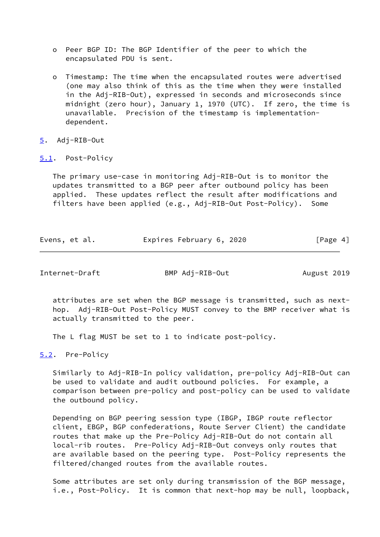- o Peer BGP ID: The BGP Identifier of the peer to which the encapsulated PDU is sent.
- o Timestamp: The time when the encapsulated routes were advertised (one may also think of this as the time when they were installed in the Adj-RIB-Out), expressed in seconds and microseconds since midnight (zero hour), January 1, 1970 (UTC). If zero, the time is unavailable. Precision of the timestamp is implementation dependent.
- <span id="page-4-0"></span>[5](#page-4-0). Adj-RIB-Out
- <span id="page-4-1"></span>[5.1](#page-4-1). Post-Policy

 The primary use-case in monitoring Adj-RIB-Out is to monitor the updates transmitted to a BGP peer after outbound policy has been applied. These updates reflect the result after modifications and filters have been applied (e.g., Adj-RIB-Out Post-Policy). Some

| Evens, et al. | Expires February 6, 2020 | [Page 4] |  |
|---------------|--------------------------|----------|--|
|               |                          |          |  |

<span id="page-4-3"></span>Internet-Draft BMP Adj-RIB-Out August 2019

 attributes are set when the BGP message is transmitted, such as next hop. Adj-RIB-Out Post-Policy MUST convey to the BMP receiver what is actually transmitted to the peer.

The L flag MUST be set to 1 to indicate post-policy.

<span id="page-4-2"></span>[5.2](#page-4-2). Pre-Policy

 Similarly to Adj-RIB-In policy validation, pre-policy Adj-RIB-Out can be used to validate and audit outbound policies. For example, a comparison between pre-policy and post-policy can be used to validate the outbound policy.

 Depending on BGP peering session type (IBGP, IBGP route reflector client, EBGP, BGP confederations, Route Server Client) the candidate routes that make up the Pre-Policy Adj-RIB-Out do not contain all local-rib routes. Pre-Policy Adj-RIB-Out conveys only routes that are available based on the peering type. Post-Policy represents the filtered/changed routes from the available routes.

 Some attributes are set only during transmission of the BGP message, i.e., Post-Policy. It is common that next-hop may be null, loopback,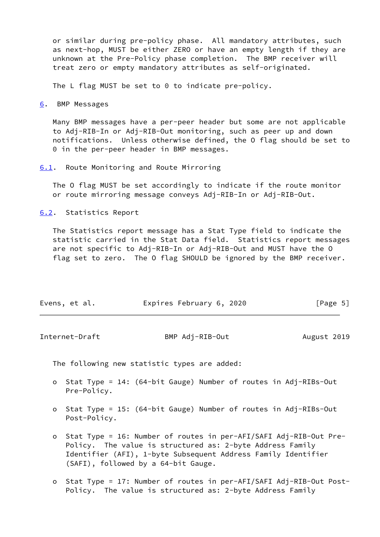or similar during pre-policy phase. All mandatory attributes, such as next-hop, MUST be either ZERO or have an empty length if they are unknown at the Pre-Policy phase completion. The BMP receiver will treat zero or empty mandatory attributes as self-originated.

The L flag MUST be set to 0 to indicate pre-policy.

<span id="page-5-0"></span>[6](#page-5-0). BMP Messages

 Many BMP messages have a per-peer header but some are not applicable to Adj-RIB-In or Adj-RIB-Out monitoring, such as peer up and down notifications. Unless otherwise defined, the O flag should be set to 0 in the per-peer header in BMP messages.

<span id="page-5-1"></span>[6.1](#page-5-1). Route Monitoring and Route Mirroring

 The O flag MUST be set accordingly to indicate if the route monitor or route mirroring message conveys Adj-RIB-In or Adj-RIB-Out.

<span id="page-5-2"></span>[6.2](#page-5-2). Statistics Report

 The Statistics report message has a Stat Type field to indicate the statistic carried in the Stat Data field. Statistics report messages are not specific to Adj-RIB-In or Adj-RIB-Out and MUST have the O flag set to zero. The O flag SHOULD be ignored by the BMP receiver.

| Evens, et al. | Expires February 6, 2020 | [Page 5] |
|---------------|--------------------------|----------|
|               |                          |          |

<span id="page-5-3"></span>

| Internet-Draft | BMP Adj-RIB-Out | August 2019 |
|----------------|-----------------|-------------|
|----------------|-----------------|-------------|

The following new statistic types are added:

- o Stat Type = 14: (64-bit Gauge) Number of routes in Adj-RIBs-Out Pre-Policy.
- o Stat Type = 15: (64-bit Gauge) Number of routes in Adj-RIBs-Out Post-Policy.
- o Stat Type = 16: Number of routes in per-AFI/SAFI Adj-RIB-Out Pre- Policy. The value is structured as: 2-byte Address Family Identifier (AFI), 1-byte Subsequent Address Family Identifier (SAFI), followed by a 64-bit Gauge.
- o Stat Type = 17: Number of routes in per-AFI/SAFI Adj-RIB-Out Post- Policy. The value is structured as: 2-byte Address Family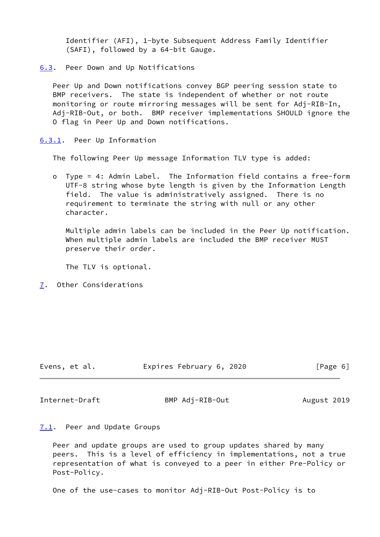Identifier (AFI), 1-byte Subsequent Address Family Identifier (SAFI), followed by a 64-bit Gauge.

<span id="page-6-0"></span>[6.3](#page-6-0). Peer Down and Up Notifications

 Peer Up and Down notifications convey BGP peering session state to BMP receivers. The state is independent of whether or not route monitoring or route mirroring messages will be sent for Adj-RIB-In, Adj-RIB-Out, or both. BMP receiver implementations SHOULD ignore the O flag in Peer Up and Down notifications.

<span id="page-6-1"></span>[6.3.1](#page-6-1). Peer Up Information

The following Peer Up message Information TLV type is added:

 o Type = 4: Admin Label. The Information field contains a free-form UTF-8 string whose byte length is given by the Information Length field. The value is administratively assigned. There is no requirement to terminate the string with null or any other character.

 Multiple admin labels can be included in the Peer Up notification. When multiple admin labels are included the BMP receiver MUST preserve their order.

The TLV is optional.

<span id="page-6-2"></span>[7](#page-6-2). Other Considerations

| Evens, et al. | Expires February 6, 2020 | [Page 6] |
|---------------|--------------------------|----------|
|---------------|--------------------------|----------|

<span id="page-6-4"></span>Internet-Draft BMP Adj-RIB-Out August 2019

<span id="page-6-3"></span>[7.1](#page-6-3). Peer and Update Groups

 Peer and update groups are used to group updates shared by many peers. This is a level of efficiency in implementations, not a true representation of what is conveyed to a peer in either Pre-Policy or Post-Policy.

One of the use-cases to monitor Adj-RIB-Out Post-Policy is to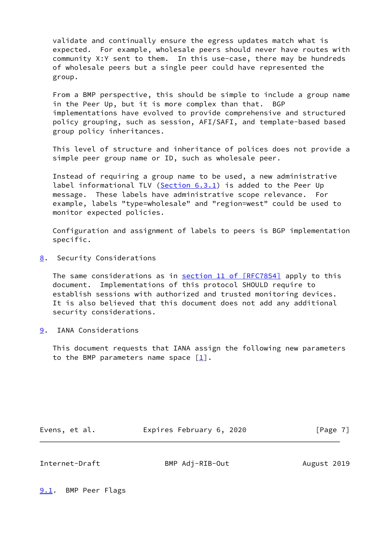validate and continually ensure the egress updates match what is expected. For example, wholesale peers should never have routes with community X:Y sent to them. In this use-case, there may be hundreds of wholesale peers but a single peer could have represented the group.

 From a BMP perspective, this should be simple to include a group name in the Peer Up, but it is more complex than that. BGP implementations have evolved to provide comprehensive and structured policy grouping, such as session, AFI/SAFI, and template-based based group policy inheritances.

 This level of structure and inheritance of polices does not provide a simple peer group name or ID, such as wholesale peer.

 Instead of requiring a group name to be used, a new administrative label informational TLV [\(Section 6.3.1](#page-6-1)) is added to the Peer Up message. These labels have administrative scope relevance. For example, labels "type=wholesale" and "region=west" could be used to monitor expected policies.

 Configuration and assignment of labels to peers is BGP implementation specific.

<span id="page-7-0"></span>[8](#page-7-0). Security Considerations

The same considerations as in section [11 of \[RFC7854\]](https://datatracker.ietf.org/doc/pdf/rfc7854#section-11) apply to this document. Implementations of this protocol SHOULD require to establish sessions with authorized and trusted monitoring devices. It is also believed that this document does not add any additional security considerations.

<span id="page-7-1"></span>[9](#page-7-1). IANA Considerations

 This document requests that IANA assign the following new parameters to the BMP parameters name space  $[\underline{1}]$ .

Evens, et al. **Expires February 6, 2020** [Page 7]

<span id="page-7-3"></span>

Internet-Draft BMP Adj-RIB-Out August 2019

<span id="page-7-2"></span>[9.1](#page-7-2). BMP Peer Flags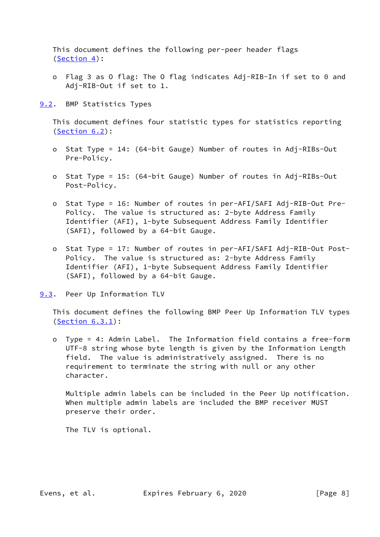This document defines the following per-peer header flags [\(Section 4](#page-3-1)):

 o Flag 3 as O flag: The O flag indicates Adj-RIB-In if set to 0 and Adj-RIB-Out if set to 1.

<span id="page-8-0"></span>[9.2](#page-8-0). BMP Statistics Types

 This document defines four statistic types for statistics reporting [\(Section 6.2](#page-5-2)):

- o Stat Type = 14: (64-bit Gauge) Number of routes in Adj-RIBs-Out Pre-Policy.
- o Stat Type = 15: (64-bit Gauge) Number of routes in Adj-RIBs-Out Post-Policy.
- o Stat Type = 16: Number of routes in per-AFI/SAFI Adj-RIB-Out Pre- Policy. The value is structured as: 2-byte Address Family Identifier (AFI), 1-byte Subsequent Address Family Identifier (SAFI), followed by a 64-bit Gauge.
- o Stat Type = 17: Number of routes in per-AFI/SAFI Adj-RIB-Out Post- Policy. The value is structured as: 2-byte Address Family Identifier (AFI), 1-byte Subsequent Address Family Identifier (SAFI), followed by a 64-bit Gauge.

<span id="page-8-1"></span>[9.3](#page-8-1). Peer Up Information TLV

 This document defines the following BMP Peer Up Information TLV types [\(Section 6.3.1](#page-6-1)):

 o Type = 4: Admin Label. The Information field contains a free-form UTF-8 string whose byte length is given by the Information Length field. The value is administratively assigned. There is no requirement to terminate the string with null or any other character.

 Multiple admin labels can be included in the Peer Up notification. When multiple admin labels are included the BMP receiver MUST preserve their order.

The TLV is optional.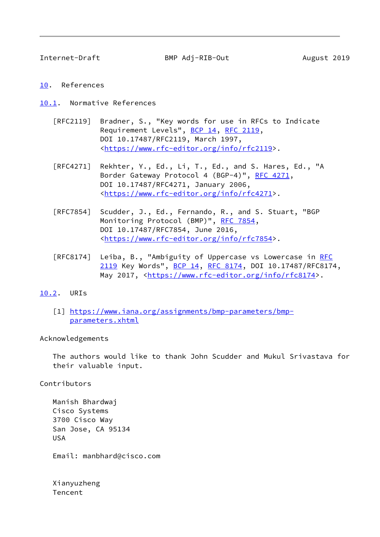<span id="page-9-1"></span>

Internet-Draft BMP Adj-RIB-Out August 2019

- <span id="page-9-0"></span>[10.](#page-9-0) References
- <span id="page-9-2"></span>[10.1](#page-9-2). Normative References
	- [RFC2119] Bradner, S., "Key words for use in RFCs to Indicate Requirement Levels", [BCP 14](https://datatracker.ietf.org/doc/pdf/bcp14), [RFC 2119](https://datatracker.ietf.org/doc/pdf/rfc2119), DOI 10.17487/RFC2119, March 1997, <[https://www.rfc-editor.org/info/rfc2119>](https://www.rfc-editor.org/info/rfc2119).
	- [RFC4271] Rekhter, Y., Ed., Li, T., Ed., and S. Hares, Ed., "A Border Gateway Protocol 4 (BGP-4)", [RFC 4271,](https://datatracker.ietf.org/doc/pdf/rfc4271) DOI 10.17487/RFC4271, January 2006, <[https://www.rfc-editor.org/info/rfc4271>](https://www.rfc-editor.org/info/rfc4271).
	- [RFC7854] Scudder, J., Ed., Fernando, R., and S. Stuart, "BGP Monitoring Protocol (BMP)", [RFC 7854,](https://datatracker.ietf.org/doc/pdf/rfc7854) DOI 10.17487/RFC7854, June 2016, <[https://www.rfc-editor.org/info/rfc7854>](https://www.rfc-editor.org/info/rfc7854).
	- [RFC8174] Leiba, B., "Ambiguity of Uppercase vs Lowercase in [RFC](https://datatracker.ietf.org/doc/pdf/rfc2119) [2119](https://datatracker.ietf.org/doc/pdf/rfc2119) Key Words", [BCP 14](https://datatracker.ietf.org/doc/pdf/bcp14), [RFC 8174,](https://datatracker.ietf.org/doc/pdf/rfc8174) DOI 10.17487/RFC8174, May 2017, [<https://www.rfc-editor.org/info/rfc8174](https://www.rfc-editor.org/info/rfc8174)>.
- <span id="page-9-4"></span><span id="page-9-3"></span>[10.2](#page-9-3). URIs
	- [1] [https://www.iana.org/assignments/bmp-parameters/bmp](https://www.iana.org/assignments/bmp-parameters/bmp-parameters.xhtml) [parameters.xhtml](https://www.iana.org/assignments/bmp-parameters/bmp-parameters.xhtml)

Acknowledgements

 The authors would like to thank John Scudder and Mukul Srivastava for their valuable input.

Contributors

 Manish Bhardwaj Cisco Systems 3700 Cisco Way San Jose, CA 95134 USA

Email: manbhard@cisco.com

 Xianyuzheng Tencent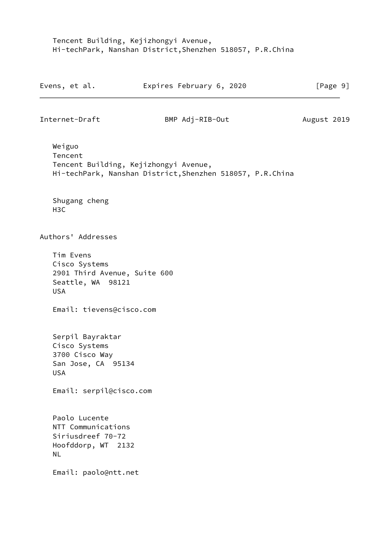Tencent Building, Kejizhongyi Avenue, Hi-techPark, Nanshan District,Shenzhen 518057, P.R.China

<span id="page-10-0"></span>

|                  | Evens, et al.                                                                     | Expires February 6, 2020                                                                           | [Page 9]    |
|------------------|-----------------------------------------------------------------------------------|----------------------------------------------------------------------------------------------------|-------------|
|                  | Internet-Draft                                                                    | BMP Adj-RIB-Out                                                                                    | August 2019 |
| Weiguo           | Tencent                                                                           | Tencent Building, Kejizhongyi Avenue,<br>Hi-techPark, Nanshan District, Shenzhen 518057, P.R.China |             |
| H <sub>3</sub> C | Shugang cheng                                                                     |                                                                                                    |             |
|                  | Authors' Addresses                                                                |                                                                                                    |             |
| <b>USA</b>       | Tim Evens<br>Cisco Systems<br>2901 Third Avenue, Suite 600<br>Seattle, WA 98121   |                                                                                                    |             |
|                  | Email: tievens@cisco.com                                                          |                                                                                                    |             |
| <b>USA</b>       | Serpil Bayraktar<br>Cisco Systems<br>3700 Cisco Way<br>San Jose, CA 95134         |                                                                                                    |             |
|                  | Email: serpil@cisco.com                                                           |                                                                                                    |             |
| <b>NL</b>        | Paolo Lucente<br>NTT Communications<br>Siriusdreef 70-72<br>Hoofddorp, WT<br>2132 |                                                                                                    |             |
|                  | Email: paolo@ntt.net                                                              |                                                                                                    |             |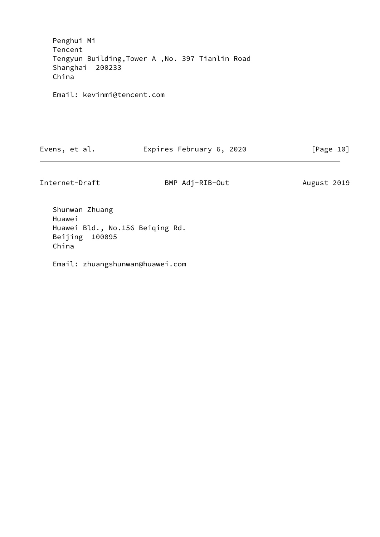Penghui Mi Tencent Tengyun Building,Tower A ,No. 397 Tianlin Road Shanghai 200233 China

Email: kevinmi@tencent.com

| Evens, et al. | Expires February 6, 2020 | [Page 10] |
|---------------|--------------------------|-----------|
|---------------|--------------------------|-----------|

Internet-Draft BMP Adj-RIB-Out August 2019

 Shunwan Zhuang Huawei Huawei Bld., No.156 Beiqing Rd. Beijing 100095 China

Email: zhuangshunwan@huawei.com